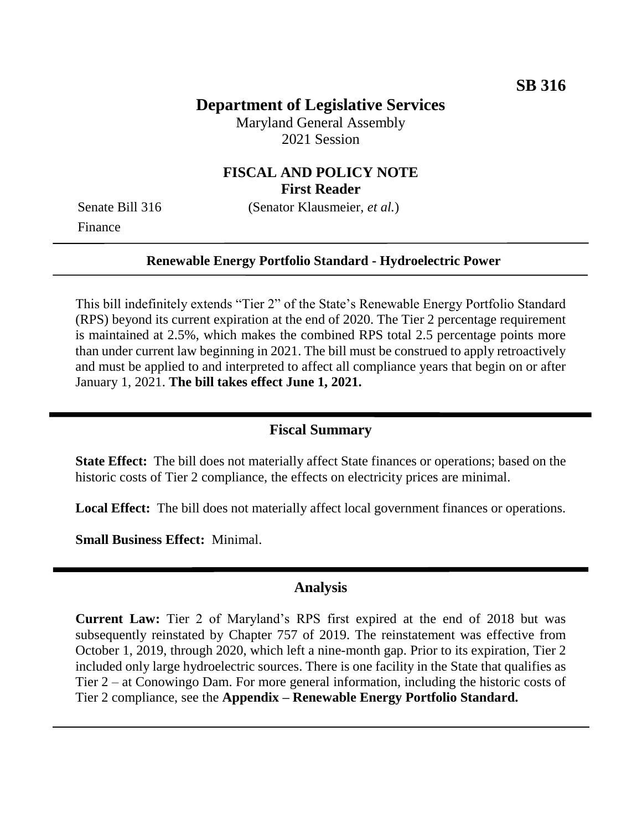## **Department of Legislative Services**

Maryland General Assembly 2021 Session

### **FISCAL AND POLICY NOTE First Reader**

Finance

Senate Bill 316 (Senator Klausmeier, *et al.*)

### **Renewable Energy Portfolio Standard - Hydroelectric Power**

This bill indefinitely extends "Tier 2" of the State's Renewable Energy Portfolio Standard (RPS) beyond its current expiration at the end of 2020. The Tier 2 percentage requirement is maintained at 2.5%, which makes the combined RPS total 2.5 percentage points more than under current law beginning in 2021. The bill must be construed to apply retroactively and must be applied to and interpreted to affect all compliance years that begin on or after January 1, 2021. **The bill takes effect June 1, 2021.**

### **Fiscal Summary**

**State Effect:** The bill does not materially affect State finances or operations; based on the historic costs of Tier 2 compliance, the effects on electricity prices are minimal.

**Local Effect:** The bill does not materially affect local government finances or operations.

**Small Business Effect:** Minimal.

### **Analysis**

**Current Law:** Tier 2 of Maryland's RPS first expired at the end of 2018 but was subsequently reinstated by Chapter 757 of 2019. The reinstatement was effective from October 1, 2019, through 2020, which left a nine-month gap. Prior to its expiration, Tier 2 included only large hydroelectric sources. There is one facility in the State that qualifies as Tier 2 – at Conowingo Dam. For more general information, including the historic costs of Tier 2 compliance, see the **Appendix – Renewable Energy Portfolio Standard.**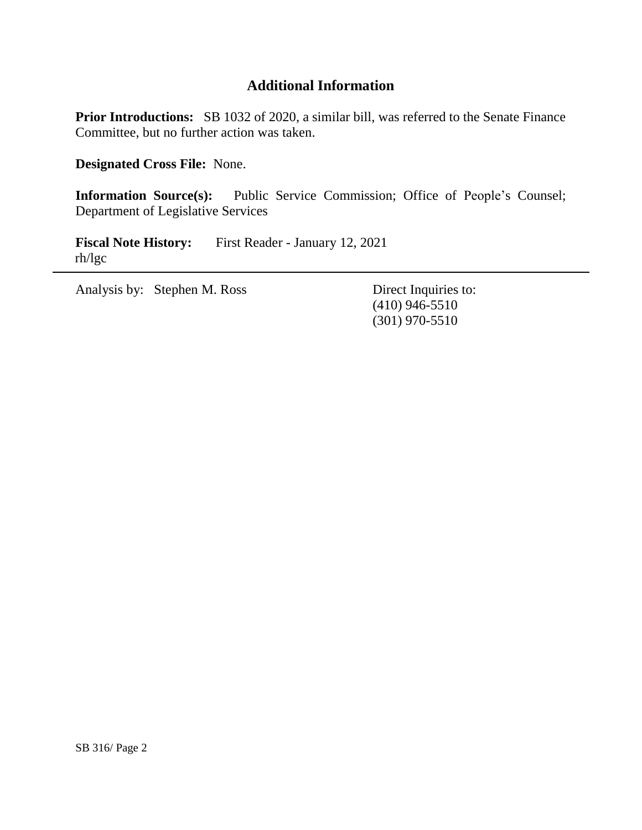# **Additional Information**

**Prior Introductions:** SB 1032 of 2020, a similar bill, was referred to the Senate Finance Committee, but no further action was taken.

**Designated Cross File:** None.

**Information Source(s):** Public Service Commission; Office of People's Counsel; Department of Legislative Services

**Fiscal Note History:** First Reader - January 12, 2021 rh/lgc

Analysis by: Stephen M. Ross Direct Inquiries to:

(410) 946-5510 (301) 970-5510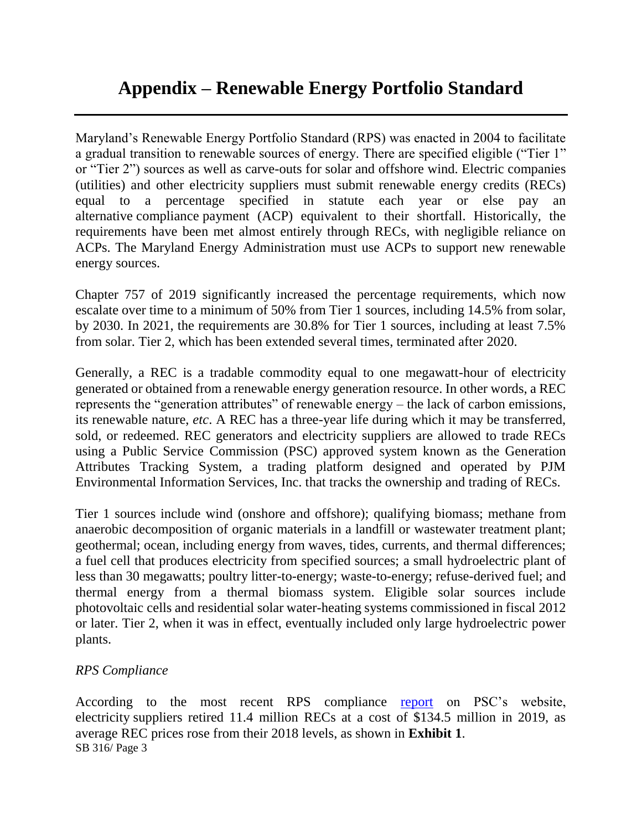Maryland's Renewable Energy Portfolio Standard (RPS) was enacted in 2004 to facilitate a gradual transition to renewable sources of energy. There are specified eligible ("Tier 1" or "Tier 2") sources as well as carve-outs for solar and offshore wind. Electric companies (utilities) and other electricity suppliers must submit renewable energy credits (RECs) equal to a percentage specified in statute each year or else pay an alternative compliance payment (ACP) equivalent to their shortfall. Historically, the requirements have been met almost entirely through RECs, with negligible reliance on ACPs. The Maryland Energy Administration must use ACPs to support new renewable energy sources.

Chapter 757 of 2019 significantly increased the percentage requirements, which now escalate over time to a minimum of 50% from Tier 1 sources, including 14.5% from solar, by 2030. In 2021, the requirements are 30.8% for Tier 1 sources, including at least 7.5% from solar. Tier 2, which has been extended several times, terminated after 2020.

Generally, a REC is a tradable commodity equal to one megawatt-hour of electricity generated or obtained from a renewable energy generation resource. In other words, a REC represents the "generation attributes" of renewable energy – the lack of carbon emissions, its renewable nature, *etc*. A REC has a three-year life during which it may be transferred, sold, or redeemed. REC generators and electricity suppliers are allowed to trade RECs using a Public Service Commission (PSC) approved system known as the Generation Attributes Tracking System, a trading platform designed and operated by PJM Environmental Information Services, Inc. that tracks the ownership and trading of RECs.

Tier 1 sources include wind (onshore and offshore); qualifying biomass; methane from anaerobic decomposition of organic materials in a landfill or wastewater treatment plant; geothermal; ocean, including energy from waves, tides, currents, and thermal differences; a fuel cell that produces electricity from specified sources; a small hydroelectric plant of less than 30 megawatts; poultry litter-to-energy; waste-to-energy; refuse-derived fuel; and thermal energy from a thermal biomass system. Eligible solar sources include photovoltaic cells and residential solar water-heating systems commissioned in fiscal 2012 or later. Tier 2, when it was in effect, eventually included only large hydroelectric power plants.

### *RPS Compliance*

SB 316/ Page 3 According to the most recent RPS compliance [report](https://www.psc.state.md.us/wp-content/uploads/CY19-RPS-Annual-Report-Final-1.pdf) on PSC's website, electricity suppliers retired 11.4 million RECs at a cost of \$134.5 million in 2019, as average REC prices rose from their 2018 levels, as shown in **Exhibit 1**.